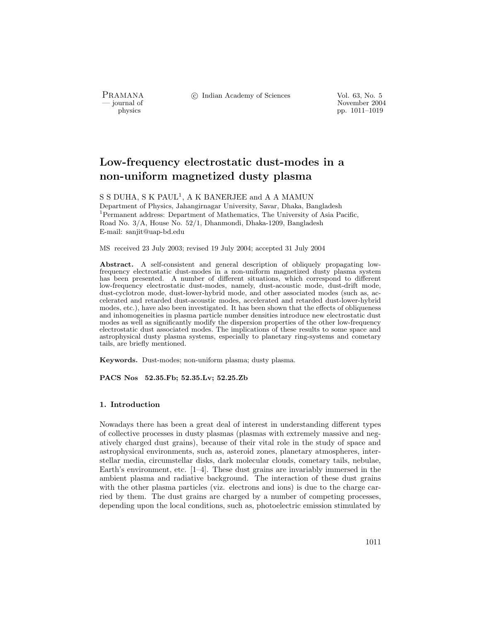PRAMANA °c Indian Academy of Sciences Vol. 63, No. 5

purnal of November 2004<br>
pp. 1011–1019<br>
pp. 1011–1019 pp. 1011–1019

# Low-frequency electrostatic dust-modes in a non-uniform magnetized dusty plasma

S S DUHA, S K PAUL<sup>1</sup>, A K BANERJEE and A A MAMUN Department of Physics, Jahangirnagar University, Savar, Dhaka, Bangladesh <sup>1</sup>Permanent address: Department of Mathematics, The University of Asia Pacific, Road No. 3/A, House No. 52/1, Dhanmondi, Dhaka-1209, Bangladesh E-mail: sanjit@uap-bd.edu

MS received 23 July 2003; revised 19 July 2004; accepted 31 July 2004

Abstract. A self-consistent and general description of obliquely propagating lowfrequency electrostatic dust-modes in a non-uniform magnetized dusty plasma system has been presented. A number of different situations, which correspond to different low-frequency electrostatic dust-modes, namely, dust-acoustic mode, dust-drift mode, dust-cyclotron mode, dust-lower-hybrid mode, and other associated modes (such as, accelerated and retarded dust-acoustic modes, accelerated and retarded dust-lower-hybrid modes, etc.), have also been investigated. It has been shown that the effects of obliqueness and inhomogeneities in plasma particle number densities introduce new electrostatic dust modes as well as significantly modify the dispersion properties of the other low-frequency electrostatic dust associated modes. The implications of these results to some space and astrophysical dusty plasma systems, especially to planetary ring-systems and cometary tails, are briefly mentioned.

Keywords. Dust-modes; non-uniform plasma; dusty plasma.

PACS Nos 52.35.Fb; 52.35.Lv; 52.25.Zb

## 1. Introduction

Nowadays there has been a great deal of interest in understanding different types of collective processes in dusty plasmas (plasmas with extremely massive and negatively charged dust grains), because of their vital role in the study of space and astrophysical environments, such as, asteroid zones, planetary atmospheres, interstellar media, circumstellar disks, dark molecular clouds, cometary tails, nebulae, Earth's environment, etc.  $[1-4]$ . These dust grains are invariably immersed in the ambient plasma and radiative background. The interaction of these dust grains with the other plasma particles (viz. electrons and ions) is due to the charge carried by them. The dust grains are charged by a number of competing processes, depending upon the local conditions, such as, photoelectric emission stimulated by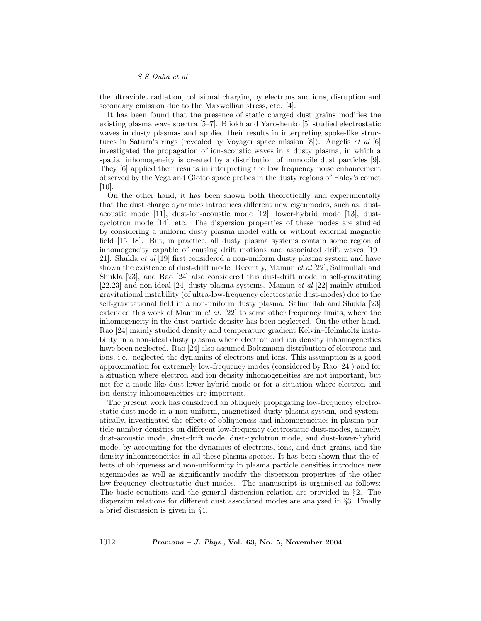the ultraviolet radiation, collisional charging by electrons and ions, disruption and secondary emission due to the Maxwellian stress, etc. [4].

It has been found that the presence of static charged dust grains modifies the existing plasma wave spectra [5–7]. Bliokh and Yaroshenko [5] studied electrostatic waves in dusty plasmas and applied their results in interpreting spoke-like structures in Saturn's rings (revealed by Voyager space mission [8]). Angelis et al [6] investigated the propagation of ion-acoustic waves in a dusty plasma, in which a spatial inhomogeneity is created by a distribution of immobile dust particles [9]. They [6] applied their results in interpreting the low frequency noise enhancement observed by the Vega and Giotto space probes in the dusty regions of Haley's comet [10].

On the other hand, it has been shown both theoretically and experimentally that the dust charge dynamics introduces different new eigenmodes, such as, dustacoustic mode [11], dust-ion-acoustic mode [12], lower-hybrid mode [13], dustcyclotron mode [14], etc. The dispersion properties of these modes are studied by considering a uniform dusty plasma model with or without external magnetic field [15–18]. But, in practice, all dusty plasma systems contain some region of inhomogeneity capable of causing drift motions and associated drift waves [19– 21]. Shukla et al [19] first considered a non-uniform dusty plasma system and have shown the existence of dust-drift mode. Recently, Mamun et al [22], Salimullah and Shukla [23], and Rao [24] also considered this dust-drift mode in self-gravitating [22,23] and non-ideal [24] dusty plasma systems. Mamun et al [22] mainly studied gravitational instability (of ultra-low-frequency electrostatic dust-modes) due to the self-gravitational field in a non-uniform dusty plasma. Salimullah and Shukla [23] extended this work of Mamun *et al.* [22] to some other frequency limits, where the inhomogeneity in the dust particle density has been neglected. On the other hand, Rao [24] mainly studied density and temperature gradient Kelvin–Helmholtz instability in a non-ideal dusty plasma where electron and ion density inhomogeneities have been neglected. Rao [24] also assumed Boltzmann distribution of electrons and ions, i.e., neglected the dynamics of electrons and ions. This assumption is a good approximation for extremely low-frequency modes (considered by Rao [24]) and for a situation where electron and ion density inhomogeneities are not important, but not for a mode like dust-lower-hybrid mode or for a situation where electron and ion density inhomogeneities are important.

The present work has considered an obliquely propagating low-frequency electrostatic dust-mode in a non-uniform, magnetized dusty plasma system, and systematically, investigated the effects of obliqueness and inhomogeneities in plasma particle number densities on different low-frequency electrostatic dust-modes, namely, dust-acoustic mode, dust-drift mode, dust-cyclotron mode, and dust-lower-hybrid mode, by accounting for the dynamics of electrons, ions, and dust grains, and the density inhomogeneities in all these plasma species. It has been shown that the effects of obliqueness and non-uniformity in plasma particle densities introduce new eigenmodes as well as significantly modify the dispersion properties of the other low-frequency electrostatic dust-modes. The manuscript is organised as follows: The basic equations and the general dispersion relation are provided in §2. The dispersion relations for different dust associated modes are analysed in §3. Finally a brief discussion is given in §4.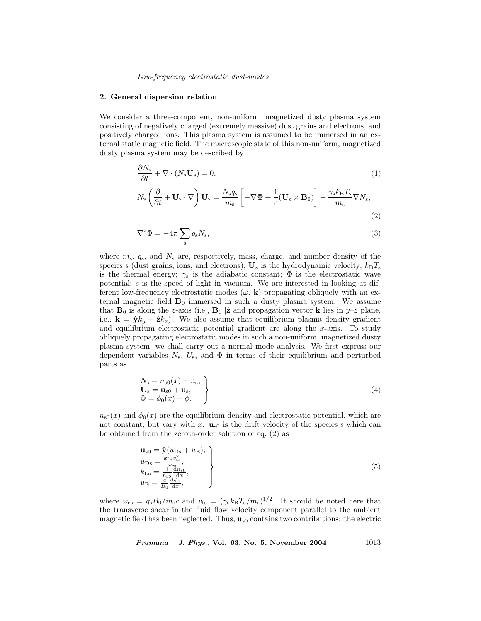#### 2. General dispersion relation

We consider a three-component, non-uniform, magnetized dusty plasma system consisting of negatively charged (extremely massive) dust grains and electrons, and positively charged ions. This plasma system is assumed to be immersed in an external static magnetic field. The macroscopic state of this non-uniform, magnetized dusty plasma system may be described by

$$
\frac{\partial N_{\rm s}}{\partial t} + \nabla \cdot (N_{\rm s} \mathbf{U}_{\rm s}) = 0,
$$
\n
$$
N_{\rm s} \left( \frac{\partial}{\partial t} + \mathbf{U}_{\rm s} \cdot \nabla \right) \mathbf{U}_{\rm s} = \frac{N_{\rm s} q_{\rm s}}{m_{\rm s}} \left[ -\nabla \Phi + \frac{1}{c} (\mathbf{U}_{\rm s} \times \mathbf{B}_0) \right] - \frac{\gamma_{\rm s} k_{\rm B} T_{\rm s}}{m_{\rm s}} \nabla N_{\rm s},
$$
\n(1)

$$
\nabla^2 \Phi = -4\pi \sum_{\mathbf{s}} q_{\mathbf{s}} N_{\mathbf{s}},\tag{3}
$$

(2)

where  $m_s$ ,  $q_s$ , and  $N_s$  are, respectively, mass, charge, and number density of the species s (dust grains, ions, and electrons);  $U_s$  is the hydrodynamic velocity;  $k_B T_s$ is the thermal energy;  $\gamma_s$  is the adiabatic constant;  $\Phi$  is the electrostatic wave potential; c is the speed of light in vacuum. We are interested in looking at different low-frequency electrostatic modes  $(\omega, \mathbf{k})$  propagating obliquely with an external magnetic field  $B_0$  immersed in such a dusty plasma system. We assume that  $\mathbf{B}_0$  is along the z-axis (i.e.,  $\mathbf{B}_0||\hat{\mathbf{z}}$  and propagation vector **k** lies in  $y-z$  plane, i.e.,  $\mathbf{k} = \hat{\mathbf{y}}k_y + \hat{\mathbf{z}}k_z$ . We also assume that equilibrium plasma density gradient and equilibrium electrostatic potential gradient are along the  $x$ -axis. To study obliquely propagating electrostatic modes in such a non-uniform, magnetized dusty plasma system, we shall carry out a normal mode analysis. We first express our dependent variables  $N_s$ ,  $U_s$ , and  $\Phi$  in terms of their equilibrium and perturbed parts as

$$
N_{\rm s} = n_{\rm s0}(x) + n_{\rm s},
$$
  
\n
$$
U_{\rm s} = u_{\rm s0} + u_{\rm s},
$$
  
\n
$$
\Phi = \phi_0(x) + \phi.
$$
\n(4)

 $n_{s0}(x)$  and  $\phi_0(x)$  are the equilibrium density and electrostatic potential, which are not constant, but vary with x.  $\mathbf{u}_{s0}$  is the drift velocity of the species s which can be obtained from the zeroth-order solution of eq. (2) as

$$
\mathbf{u}_{\text{SO}} = \hat{\mathbf{y}}(u_{\text{Ds}} + u_{\text{E}}),
$$
\n
$$
u_{\text{Ds}} = \frac{k_{\text{Ls}}v_{\text{fs}}^2}{\frac{\omega_{\text{cs}}}{u_{\text{BS}}}},
$$
\n
$$
k_{\text{Ls}} = \frac{1}{n_{\text{so}}} \frac{dn_{\text{SO}}}{dx},
$$
\n
$$
u_{\text{E}} = \frac{c}{B_0} \frac{d\phi_0}{dx},
$$
\n
$$
(5)
$$

where  $\omega_{\rm cs} = q_{\rm s}B_0/m_{\rm s}c$  and  $v_{\rm ts} = (\gamma_{\rm s}k_{\rm B}T_{\rm s}/m_{\rm s})^{1/2}$ . It should be noted here that the transverse shear in the fluid flow velocity component parallel to the ambient magnetic field has been neglected. Thus,  $\mathbf{u}_{s0}$  contains two contributions: the electric

*Pramana – J. Phys.*, Vol. 63, No. 5, November 2004  $1013$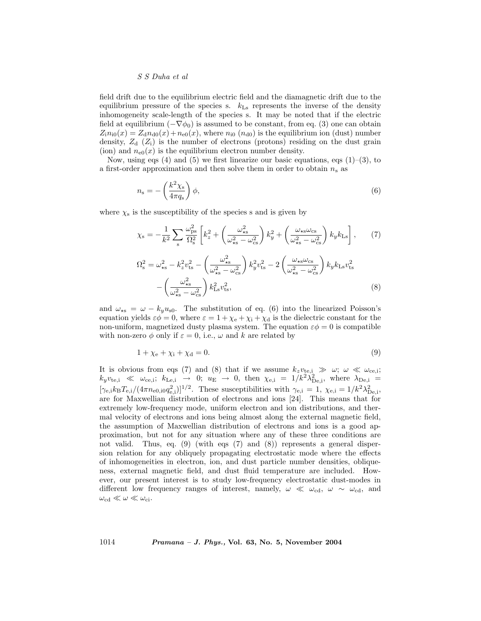field drift due to the equilibrium electric field and the diamagnetic drift due to the equilibrium pressure of the species s.  $k_{\text{Ls}}$  represents the inverse of the density inhomogeneity scale-length of the species s. It may be noted that if the electric field at equilibrium  $(-\nabla \phi_0)$  is assumed to be constant, from eq. (3) one can obtain  $Z_i n_{i0}(x) = Z_d n_{d0}(x) + n_{e0}(x)$ , where  $n_{i0}(n_{d0})$  is the equilibrium ion (dust) number density,  $Z_d$   $(Z_i)$  is the number of electrons (protons) residing on the dust grain (ion) and  $n_{e0}(x)$  is the equilibrium electron number density.

Now, using eqs  $(4)$  and  $(5)$  we first linearize our basic equations, eqs  $(1)$ – $(3)$ , to a first-order approximation and then solve them in order to obtain  $n_s$  as

$$
n_{\rm s} = -\left(\frac{k^2 \chi_{\rm s}}{4\pi q_{\rm s}}\right)\phi,\tag{6}
$$

where  $\chi_s$  is the susceptibility of the species s and is given by

$$
\chi_{\rm s} = -\frac{1}{k^2} \sum_{\rm s} \frac{\omega_{\rm ps}^2}{\Omega_{\rm s}^2} \left[ k_z^2 + \left( \frac{\omega_{\rm ss}^2}{\omega_{\rm ss}^2 - \omega_{\rm cs}^2} \right) k_y^2 + \left( \frac{\omega_{\rm ss} \omega_{\rm cs}}{\omega_{\rm ss}^2 - \omega_{\rm cs}^2} \right) k_y k_{\rm Ls} \right],\tag{7}
$$

$$
\Omega_{\rm s}^2 = \omega_{\rm ss}^2 - k_z^2 v_{\rm ts}^2 - \left(\frac{\omega_{\rm ss}^2}{\omega_{\rm ss}^2 - \omega_{\rm cs}^2}\right) k_y^2 v_{\rm ts}^2 - 2 \left(\frac{\omega_{\rm ss} \omega_{\rm cs}}{\omega_{\rm ss}^2 - \omega_{\rm cs}^2}\right) k_y k_{\rm Ls} v_{\rm ts}^2 - \left(\frac{\omega_{\rm ss}^2}{\omega_{\rm ss}^2 - \omega_{\rm cs}^2}\right) k_{\rm Ls}^2 v_{\rm ts}^2,\tag{8}
$$

and  $\omega_{\star s} = \omega - k_y u_{s0}$ . The substitution of eq. (6) into the linearized Poisson's equation yields  $\varepsilon \phi = 0$ , where  $\varepsilon = 1 + \chi_{e} + \chi_{i} + \chi_{d}$  is the dielectric constant for the non-uniform, magnetized dusty plasma system. The equation  $\varepsilon\phi = 0$  is compatible with non-zero  $\phi$  only if  $\varepsilon = 0$ , i.e.,  $\omega$  and k are related by

$$
1 + \chi_{\rm e} + \chi_{\rm i} + \chi_{\rm d} = 0. \tag{9}
$$

It is obvious from eqs (7) and (8) that if we assume  $k_zv_{\text{te,i}} \gg \omega$ ;  $\omega \ll \omega_{\text{ce,i}}$ ;  $k_yv_{te,i} \ll \omega_{ce,i}; k_{Le,i} \rightarrow 0; u_E \rightarrow 0, \text{ then } \chi_{e,i} = 1/k^2 \lambda_{De,i}^2, \text{ where } \lambda_{De,i} =$  $[\gamma_{e,i}k_BT_{e,i}/(4\pi n_{e0,i0}q_{e,i}^2)]^{1/2}$ . These susceptibilities with  $\gamma_{e,i} = 1$ ,  $\chi_{e,i} = 1/k^2\lambda_{\text{De,i}}^2$ , are for Maxwellian distribution of electrons and ions [24]. This means that for extremely low-frequency mode, uniform electron and ion distributions, and thermal velocity of electrons and ions being almost along the external magnetic field, the assumption of Maxwellian distribution of electrons and ions is a good approximation, but not for any situation where any of these three conditions are not valid. Thus, eq. (9) (with eqs (7) and (8)) represents a general dispersion relation for any obliquely propagating electrostatic mode where the effects of inhomogeneities in electron, ion, and dust particle number densities, obliqueness, external magnetic field, and dust fluid temperature are included. However, our present interest is to study low-frequency electrostatic dust-modes in different low frequency ranges of interest, namely,  $\omega \ll \omega_{\text{cd}}$ ,  $\omega \sim \omega_{\text{cd}}$ , and  $\omega_\mathrm{cd} \ll \omega \ll \omega_\mathrm{ci}.$ 

1014 Pramana – J. Phys., Vol. 63, No. 5, November 2004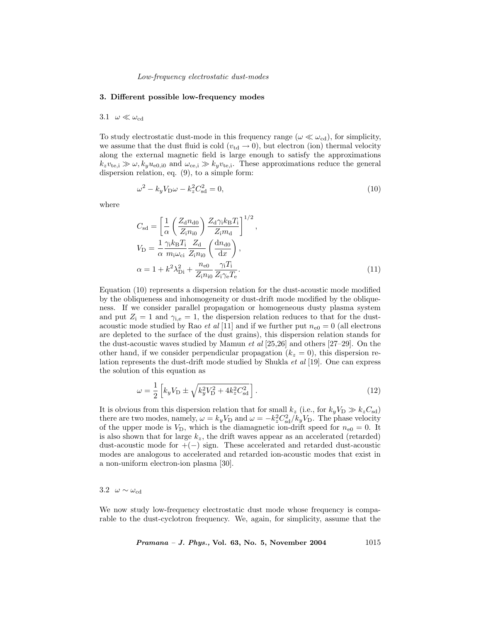#### 3. Different possible low-frequency modes

## 3.1  $\omega \ll \omega_{\rm cd}$

To study electrostatic dust-mode in this frequency range ( $\omega \ll \omega_{\text{cd}}$ ), for simplicity, we assume that the dust fluid is cold ( $v_{\text{td}} \rightarrow 0$ ), but electron (ion) thermal velocity along the external magnetic field is large enough to satisfy the approximations  $k_zv_{\text{te,i}} \gg \omega, k_yu_{\text{e0,i0}}$  and  $\omega_{\text{ce,i}} \gg k_yv_{\text{te,i}}$ . These approximations reduce the general dispersion relation, eq. (9), to a simple form:

$$
\omega^2 - k_y V_D \omega - k_z^2 C_{sd}^2 = 0,\tag{10}
$$

where

$$
C_{\rm sd} = \left[\frac{1}{\alpha} \left(\frac{Z_{\rm d} n_{\rm d0}}{Z_{\rm i} n_{\rm i0}}\right) \frac{Z_{\rm d} \gamma_{\rm i} k_{\rm B} T_{\rm i}}{Z_{\rm i} m_{\rm d}}\right]^{1/2},
$$
  
\n
$$
V_{\rm D} = \frac{1}{\alpha} \frac{\gamma_{\rm i} k_{\rm B} T_{\rm i}}{m_{\rm i} \omega_{\rm ci}} \frac{Z_{\rm d}}{Z_{\rm i} n_{\rm i0}} \left(\frac{\mathrm{d} n_{\rm d0}}{\mathrm{d} x}\right),
$$
  
\n
$$
\alpha = 1 + k^2 \lambda_{\rm Di}^2 + \frac{n_{\rm e0}}{Z_{\rm i} n_{\rm i0}} \frac{\gamma_{\rm i} T_{\rm i}}{Z_{\rm i} \gamma_{\rm e} T_{\rm e}}.
$$
\n(11)

Equation (10) represents a dispersion relation for the dust-acoustic mode modified by the obliqueness and inhomogeneity or dust-drift mode modified by the obliqueness. If we consider parallel propagation or homogeneous dusty plasma system and put  $Z_i = 1$  and  $\gamma_{i,e} = 1$ , the dispersion relation reduces to that for the dustacoustic mode studied by Rao *et al* [11] and if we further put  $n_{e0} = 0$  (all electrons are depleted to the surface of the dust grains), this dispersion relation stands for the dust-acoustic waves studied by Mamun  $et$  al  $[25,26]$  and others  $[27-29]$ . On the other hand, if we consider perpendicular propagation  $(k_z = 0)$ , this dispersion relation represents the dust-drift mode studied by Shukla et al [19]. One can express the solution of this equation as

$$
\omega = \frac{1}{2} \left[ k_y V_{\rm D} \pm \sqrt{k_y^2 V_{\rm D}^2 + 4k_z^2 C_{\rm sd}^2} \right].
$$
 (12)

It is obvious from this dispersion relation that for small  $k_z$  (i.e., for  $k_yV_D \gg k_zC_{sd}$ ) there are two modes, namely,  $\omega = k_y V_D$  and  $\omega = -k_z^2 C_{sd}^2 / k_y V_D$ . The phase velocity of the upper mode is  $V_D$ , which is the diamagnetic ion-drift speed for  $n_{e0} = 0$ . It is also shown that for large  $k_z$ , the drift waves appear as an accelerated (retarded) dust-acoustic mode for  $+(-)$  sign. These accelerated and retarded dust-acoustic modes are analogous to accelerated and retarded ion-acoustic modes that exist in a non-uniform electron-ion plasma [30].

3.2  $\omega \sim \omega_{\rm cd}$ 

We now study low-frequency electrostatic dust mode whose frequency is comparable to the dust-cyclotron frequency. We, again, for simplicity, assume that the

 $Pramana - J. Phys., Vol. 63, No. 5, November 2004  $1015$$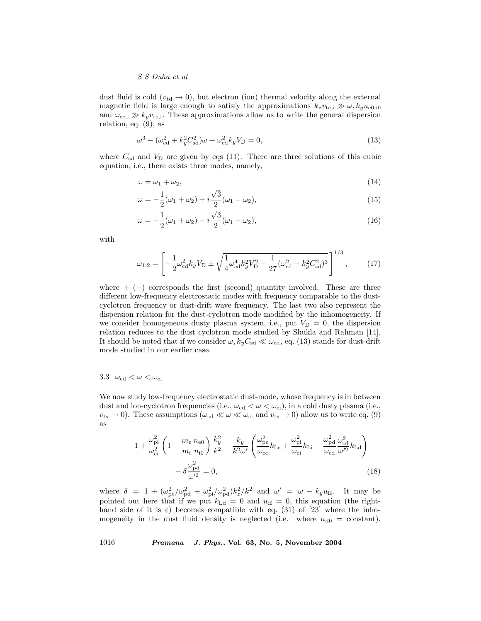dust fluid is cold ( $v_{\text{td}} \rightarrow 0$ ), but electron (ion) thermal velocity along the external magnetic field is large enough to satisfy the approximations  $k_zv_{\text{te,i}} \gg \omega, k_yu_{\text{e0,i0}}$ and  $\omega_{ce,i} \gg k_y v_{te,i}$ . These approximations allow us to write the general dispersion relation, eq. (9), as

$$
\omega^3 - (\omega_{\rm cd}^2 + k_y^2 C_{\rm sd}^2)\omega + \omega_{\rm cd}^2 k_y V_{\rm D} = 0,
$$
\n(13)

where  $C_{sd}$  and  $V_D$  are given by eqs (11). There are three solutions of this cubic equation, i.e., there exists three modes, namely,

$$
\omega = \omega_1 + \omega_2,\tag{14}
$$

$$
\omega = -\frac{1}{2}(\omega_1 + \omega_2) + i\frac{\sqrt{3}}{2}(\omega_1 - \omega_2),\tag{15}
$$

$$
\omega = -\frac{1}{2}(\omega_1 + \omega_2) - i\frac{\sqrt{3}}{2}(\omega_1 - \omega_2),
$$
\n(16)

with

$$
\omega_{1,2} = \left[ -\frac{1}{2} \omega_{cd}^2 k_y V_D \pm \sqrt{\frac{1}{4} \omega_{cd}^4 k_y^2 V_D^2 - \frac{1}{27} (\omega_{cd}^2 + k_y^2 C_{sd}^2)^3} \right]^{1/3},\tag{17}
$$

where  $+ (-)$  corresponds the first (second) quantity involved. These are three different low-frequency electrostatic modes with frequency comparable to the dustcyclotron frequency or dust-drift wave frequency. The last two also represent the dispersion relation for the dust-cyclotron mode modified by the inhomogeneity. If we consider homogeneous dusty plasma system, i.e., put  $V_D = 0$ , the dispersion relation reduces to the dust cyclotron mode studied by Shukla and Rahman [14]. It should be noted that if we consider  $\omega$ ,  $k_yC_{sd} \ll \omega_{cd}$ , eq. (13) stands for dust-drift mode studied in our earlier case.

# 3.3  $\omega_{\rm cd} < \omega < \omega_{\rm ci}$

We now study low-frequency electrostatic dust-mode, whose frequency is in between dust and ion-cyclotron frequencies (i.e.,  $\omega_{\rm cd} < \omega < \omega_{\rm ci}$ ), in a cold dusty plasma (i.e.,  $v_{ts} \to 0$ ). These assumptions  $(\omega_{cd} \ll \omega \ll \omega_{ci} \text{ and } v_{ts} \to 0)$  allow us to write eq. (9) as

$$
1 + \frac{\omega_{\text{pi}}^2}{\omega_{\text{ci}}^2} \left( 1 + \frac{m_{\text{e}}}{m_{\text{i}}} \frac{n_{\text{e0}}}{n_{\text{i0}}} \right) \frac{k_y^2}{k^2} + \frac{k_y}{k^2 \omega'} \left( \frac{\omega_{\text{pe}}^2}{\omega_{\text{ce}}} k_{\text{Le}} + \frac{\omega_{\text{pi}}^2}{\omega_{\text{ci}}} k_{\text{Li}} - \frac{\omega_{\text{pd}}^2}{\omega_{\text{cd}}} \frac{\omega_{\text{cd}}^2}{\omega'^2} k_{\text{Ld}} \right) - \delta \frac{\omega_{\text{pd}}^2}{\omega'^2} = 0,
$$
\n(18)

where  $\delta = 1 + (\omega_{\rm pe}^2/\omega_{\rm pd}^2 + \omega_{\rm pi}^2/\omega_{\rm pd}^2)k_z^2/k^2$  and  $\omega' = \omega - k_y u_{\rm E}$ . It may be pointed out here that if we put  $k_{\text{Ld}} = 0$  and  $u_{\text{E}} = 0$ , this equation (the righthand side of it is  $\varepsilon$ ) becomes compatible with eq. (31) of [23] where the inhomogeneity in the dust fluid density is neglected (i.e. where  $n_{d0} = \text{constant}$ ).

1016 Pramana – J. Phys., Vol. 63, No. 5, November 2004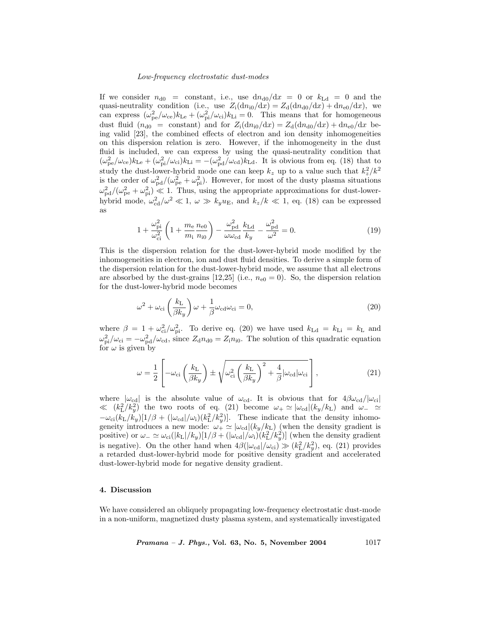If we consider  $n_{d0}$  = constant, i.e., use  $dn_{d0}/dx = 0$  or  $k_{Ld} = 0$  and the quasi-neutrality condition (i.e., use  $Z_i(dn_{i0}/dx) = Z_d(dn_{d0}/dx) + dn_{e0}/dx$ ), we can express  $(\omega_{\rm pe}^2/\omega_{\rm ce})k_{\rm Le} + (\omega_{\rm pi}^2/\omega_{\rm ci})k_{\rm Li} = 0$ . This means that for homogeneous dust fluid  $(n_{d0}$  = constant) and for  $Z_i(dn_{i0}/dx) = Z_d(dn_{d0}/dx) + dn_{e0}/dx$  being valid [23], the combined effects of electron and ion density inhomogeneities on this dispersion relation is zero. However, if the inhomogeneity in the dust fluid is included, we can express by using the quasi-neutrality condition that  $(\omega_{\rm pe}^2/\omega_{\rm ce})k_{\rm Le} + (\omega_{\rm pi}^2/\omega_{\rm ci})k_{\rm Li} = -(\omega_{\rm pd}^2/\omega_{\rm cd})k_{\rm Ld}$ . It is obvious from eq. (18) that to study the dust-lower-hybrid mode one can keep  $k_z$  up to a value such that  $k_z^2/k^2$ is the order of  $\omega_{\rm pd}^2/(\omega_{\rm pe}^2 + \omega_{\rm pi}^2)$ . However, for most of the dusty plasma situations  $\omega_{\rm pd}^2/(\omega_{\rm pe}^2+\omega_{\rm pi}^2) \ll 1$ . Thus, using the appropriate approximations for dust-lowerhybrid mode,  $\omega_{cd}^2/\omega^2 \ll 1$ ,  $\omega \gg k_y u_E$ , and  $k_z/k \ll 1$ , eq. (18) can be expressed as

$$
1 + \frac{\omega_{\text{pi}}^2}{\omega_{\text{ci}}^2} \left( 1 + \frac{m_e}{m_i} \frac{n_{e0}}{n_{i0}} \right) - \frac{\omega_{\text{pd}}^2}{\omega \omega_{\text{cd}}} \frac{k_{\text{Ld}}}{k_y} - \frac{\omega_{\text{pd}}^2}{\omega^2} = 0. \tag{19}
$$

This is the dispersion relation for the dust-lower-hybrid mode modified by the inhomogeneities in electron, ion and dust fluid densities. To derive a simple form of the dispersion relation for the dust-lower-hybrid mode, we assume that all electrons are absorbed by the dust-grains  $[12,25]$  (i.e.,  $n_{e0} = 0$ ). So, the dispersion relation for the dust-lower-hybrid mode becomes

$$
\omega^2 + \omega_{ci} \left(\frac{k_L}{\beta k_y}\right) \omega + \frac{1}{\beta} \omega_{cd} \omega_{ci} = 0, \qquad (20)
$$

where  $\beta = 1 + \omega_{ci}^2/\omega_{pi}^2$ . To derive eq. (20) we have used  $k_{\text{Ld}} = k_{\text{Li}} = k_{\text{L}}$  and  $\omega_{\rm pi}^2/\omega_{\rm ci} = -\omega_{\rm pd}^2/\omega_{\rm cd}$ , since  $Z_{\rm d}n_{\rm d0} = Z_{\rm i}n_{\rm i0}$ . The solution of this quadratic equation for  $\omega$  is given by

$$
\omega = \frac{1}{2} \left[ -\omega_{ci} \left( \frac{k_{\rm L}}{\beta k_y} \right) \pm \sqrt{\omega_{ci}^2 \left( \frac{k_{\rm L}}{\beta k_y} \right)^2 + \frac{4}{\beta} |\omega_{cd}| \omega_{ci}} \right],\tag{21}
$$

where  $|\omega_{cd}|$  is the absolute value of  $\omega_{cd}$ . It is obvious that for  $4\beta\omega_{cd}/|\omega_{ci}|$  $\ll (k_{\rm L}^2/k_y^2)$  the two roots of eq. (21) become  $\omega_+ \simeq |\omega_{\rm cd}|(k_y/k_{\rm L})$  and  $\omega_- \simeq$  $-\omega_{ci}(k_L/k_y)[1/\beta + (|\omega_{cd}|/\omega_i)(k_L^2/k_y^2)].$  These indicate that the density inhomogeneity introduces a new mode:  $\omega_+ \simeq |\omega_{cd}|(k_y/k_L)$  (when the density gradient is positive) or  $\omega_- \simeq \omega_{ci}(|k_L|/k_y)[1/\beta + (|\omega_{cd}|/\omega_i)(k_L^2/k_y^2)]$  (when the density gradient is negative). On the other hand when  $4\beta(|\omega_{\text{cd}}|/\omega_{\text{ci}}) \gg (k_L^2/k_y^2)$ , eq. (21) provides a retarded dust-lower-hybrid mode for positive density gradient and accelerated dust-lower-hybrid mode for negative density gradient.

# 4. Discussion

We have considered an obliquely propagating low-frequency electrostatic dust-mode in a non-uniform, magnetized dusty plasma system, and systematically investigated

*Pramana – J. Phys.*, Vol. 63, No. 5, November 2004  $1017$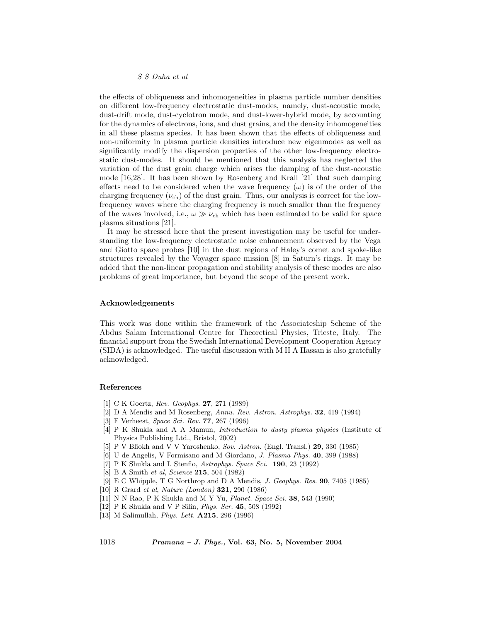the effects of obliqueness and inhomogeneities in plasma particle number densities on different low-frequency electrostatic dust-modes, namely, dust-acoustic mode, dust-drift mode, dust-cyclotron mode, and dust-lower-hybrid mode, by accounting for the dynamics of electrons, ions, and dust grains, and the density inhomogeneities in all these plasma species. It has been shown that the effects of obliqueness and non-uniformity in plasma particle densities introduce new eigenmodes as well as significantly modify the dispersion properties of the other low-frequency electrostatic dust-modes. It should be mentioned that this analysis has neglected the variation of the dust grain charge which arises the damping of the dust-acoustic mode [16,28]. It has been shown by Rosenberg and Krall [21] that such damping effects need to be considered when the wave frequency  $(\omega)$  is of the order of the charging frequency  $(\nu_{ch})$  of the dust grain. Thus, our analysis is correct for the lowfrequency waves where the charging frequency is much smaller than the frequency of the waves involved, i.e.,  $\omega \gg \nu_{ch}$  which has been estimated to be valid for space plasma situations [21].

It may be stressed here that the present investigation may be useful for understanding the low-frequency electrostatic noise enhancement observed by the Vega and Giotto space probes [10] in the dust regions of Haley's comet and spoke-like structures revealed by the Voyager space mission [8] in Saturn's rings. It may be added that the non-linear propagation and stability analysis of these modes are also problems of great importance, but beyond the scope of the present work.

#### Acknowledgements

This work was done within the framework of the Associateship Scheme of the Abdus Salam International Centre for Theoretical Physics, Trieste, Italy. The financial support from the Swedish International Development Cooperation Agency (SIDA) is acknowledged. The useful discussion with M H A Hassan is also gratefully acknowledged.

## References

- [1] C K Goertz, Rev. Geophys. 27, 271 (1989)
- [2] D A Mendis and M Rosenberg, Annu. Rev. Astron. Astrophys. 32, 419 (1994)
- [3] F Verheest, Space Sci. Rev. 77, 267 (1996)
- [4] P K Shukla and A A Mamun, Introduction to dusty plasma physics (Institute of Physics Publishing Ltd., Bristol, 2002)
- [5] P V Bliokh and V V Yaroshenko, Sov. Astron. (Engl. Transl.) 29, 330 (1985)
- [6] U de Angelis, V Formisano and M Giordano, J. Plasma Phys. 40, 399 (1988)
- [7] P K Shukla and L Stenflo, Astrophys. Space Sci. 190, 23 (1992)
- [8] B A Smith et al, Science **215**, 504 (1982)
- [9] E C Whipple, T G Northrop and D A Mendis, J. Geophys. Res. 90, 7405 (1985)
- [10] R Grard et al, Nature (London) 321, 290 (1986)
- [11] N N Rao, P K Shukla and M Y Yu, Planet. Space Sci. 38, 543 (1990)
- [12] P K Shukla and V P Silin, Phys. Scr. 45, 508 (1992)
- [13] M Salimullah, Phys. Lett. A215, 296 (1996)